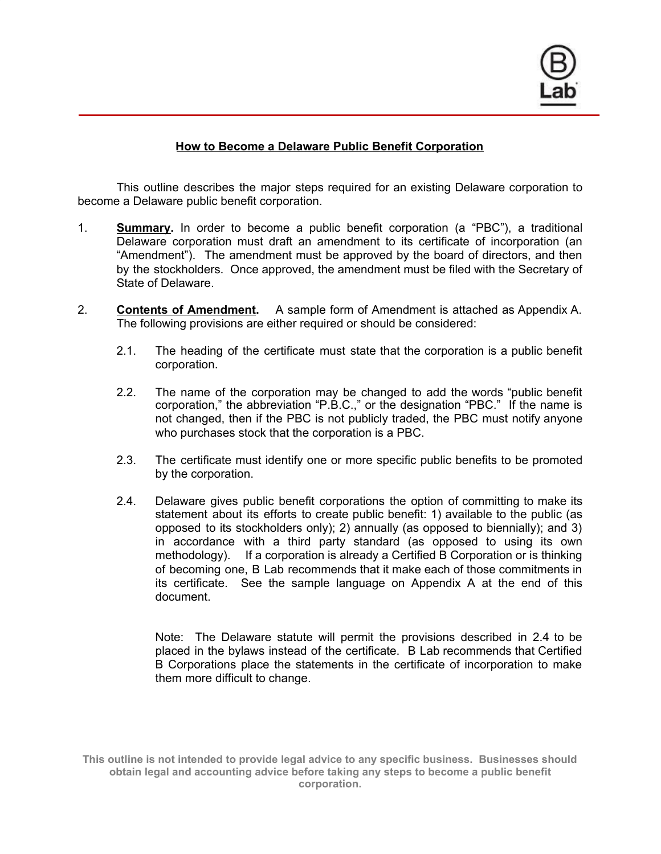

# **How to Become a Delaware Public Benefit Corporation**

This outline describes the major steps required for an existing Delaware corporation to become a Delaware public benefit corporation.

- 1. **Summary.** In order to become a public benefit corporation (a "PBC"), a traditional Delaware corporation must draft an amendment to its certificate of incorporation (an "Amendment"). The amendment must be approved by the board of directors, and then by the stockholders. Once approved, the amendment must be filed with the Secretary of State of Delaware.
- 2. **Contents of Amendment.** A sample form of Amendment is attached as Appendix A. The following provisions are either required or should be considered:
	- 2.1. The heading of the certificate must state that the corporation is a public benefit corporation.
	- 2.2. The name of the corporation may be changed to add the words "public benefit corporation," the abbreviation "P.B.C.," or the designation "PBC." If the name is not changed, then if the PBC is not publicly traded, the PBC must notify anyone who purchases stock that the corporation is a PBC.
	- 2.3. The certificate must identify one or more specific public benefits to be promoted by the corporation.
	- 2.4. Delaware gives public benefit corporations the option of committing to make its statement about its efforts to create public benefit: 1) available to the public (as opposed to its stockholders only); 2) annually (as opposed to biennially); and 3) in accordance with a third party standard (as opposed to using its own methodology). If a corporation is already a Certified B Corporation or is thinking of becoming one, B Lab recommends that it make each of those commitments in its certificate. See the sample language on Appendix A at the end of this document.

Note: The Delaware statute will permit the provisions described in 2.4 to be placed in the bylaws instead of the certificate. B Lab recommends that Certified B Corporations place the statements in the certificate of incorporation to make them more difficult to change.

**This outline is not intended to provide legal advice to any specific business. Businesses should obtain legal and accounting advice before taking any steps to become a public benefit corporation.**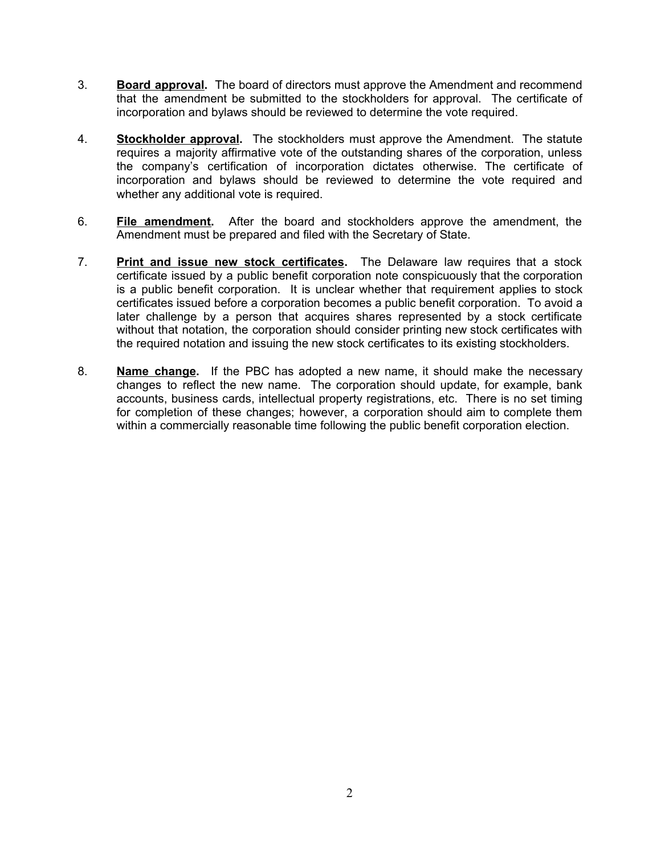- 3. **Board approval.** The board of directors must approve the Amendment and recommend that the amendment be submitted to the stockholders for approval. The certificate of incorporation and bylaws should be reviewed to determine the vote required.
- 4. **Stockholder approval.** The stockholders must approve the Amendment. The statute requires a majority affirmative vote of the outstanding shares of the corporation, unless the company's certification of incorporation dictates otherwise. The certificate of incorporation and bylaws should be reviewed to determine the vote required and whether any additional vote is required.
- 6. **File amendment.** After the board and stockholders approve the amendment, the Amendment must be prepared and filed with the Secretary of State.
- 7. **Print and issue new stock certificates.** The Delaware law requires that a stock certificate issued by a public benefit corporation note conspicuously that the corporation is a public benefit corporation. It is unclear whether that requirement applies to stock certificates issued before a corporation becomes a public benefit corporation. To avoid a later challenge by a person that acquires shares represented by a stock certificate without that notation, the corporation should consider printing new stock certificates with the required notation and issuing the new stock certificates to its existing stockholders.
- 8. **Name change.** If the PBC has adopted a new name, it should make the necessary changes to reflect the new name. The corporation should update, for example, bank accounts, business cards, intellectual property registrations, etc. There is no set timing for completion of these changes; however, a corporation should aim to complete them within a commercially reasonable time following the public benefit corporation election.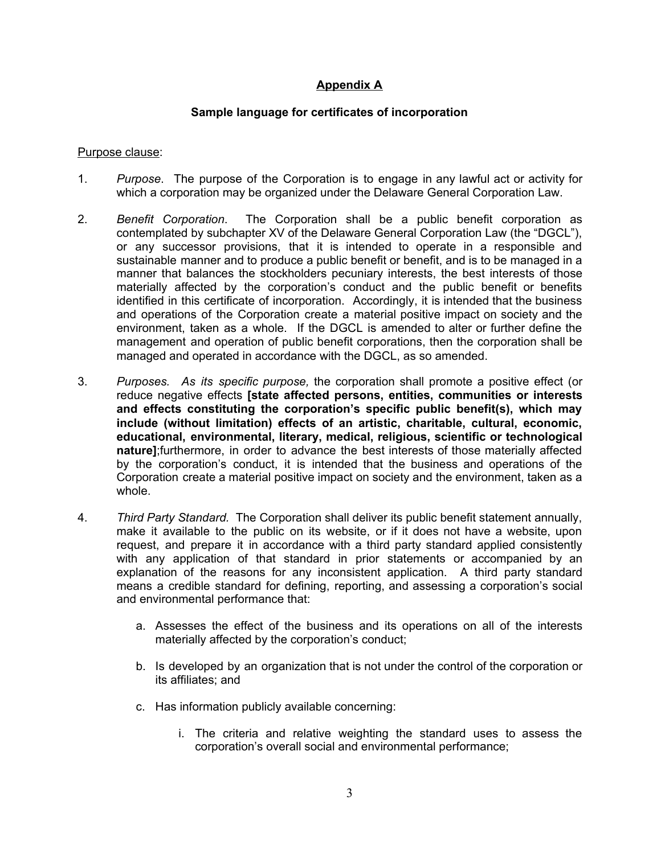# **Appendix A**

## **Sample language for certificates of incorporation**

#### Purpose clause:

- 1. *Purpose*. The purpose of the Corporation is to engage in any lawful act or activity for which a corporation may be organized under the Delaware General Corporation Law.
- 2. *Benefit Corporation*. The Corporation shall be a public benefit corporation as contemplated by subchapter XV of the Delaware General Corporation Law (the "DGCL"), or any successor provisions, that it is intended to operate in a responsible and sustainable manner and to produce a public benefit or benefit, and is to be managed in a manner that balances the stockholders pecuniary interests, the best interests of those materially affected by the corporation's conduct and the public benefit or benefits identified in this certificate of incorporation. Accordingly, it is intended that the business and operations of the Corporation create a material positive impact on society and the environment, taken as a whole. If the DGCL is amended to alter or further define the management and operation of public benefit corporations, then the corporation shall be managed and operated in accordance with the DGCL, as so amended.
- 3. *Purposes. As its specific purpose,* the corporation shall promote a positive effect (or reduce negative effects **[state affected persons, entities, communities or interests and effects constituting the corporation's specific public benefit(s), which may include (without limitation) effects of an artistic, charitable, cultural, economic, educational, environmental, literary, medical, religious, scientific or technological nature]**;furthermore, in order to advance the best interests of those materially affected by the corporation's conduct, it is intended that the business and operations of the Corporation create a material positive impact on society and the environment, taken as a whole.
- 4. *Third Party Standard.* The Corporation shall deliver its public benefit statement annually, make it available to the public on its website, or if it does not have a website, upon request, and prepare it in accordance with a third party standard applied consistently with any application of that standard in prior statements or accompanied by an explanation of the reasons for any inconsistent application. A third party standard means a credible standard for defining, reporting, and assessing a corporation's social and environmental performance that:
	- a. Assesses the effect of the business and its operations on all of the interests materially affected by the corporation's conduct;
	- b. Is developed by an organization that is not under the control of the corporation or its affiliates; and
	- c. Has information publicly available concerning:
		- i. The criteria and relative weighting the standard uses to assess the corporation's overall social and environmental performance;